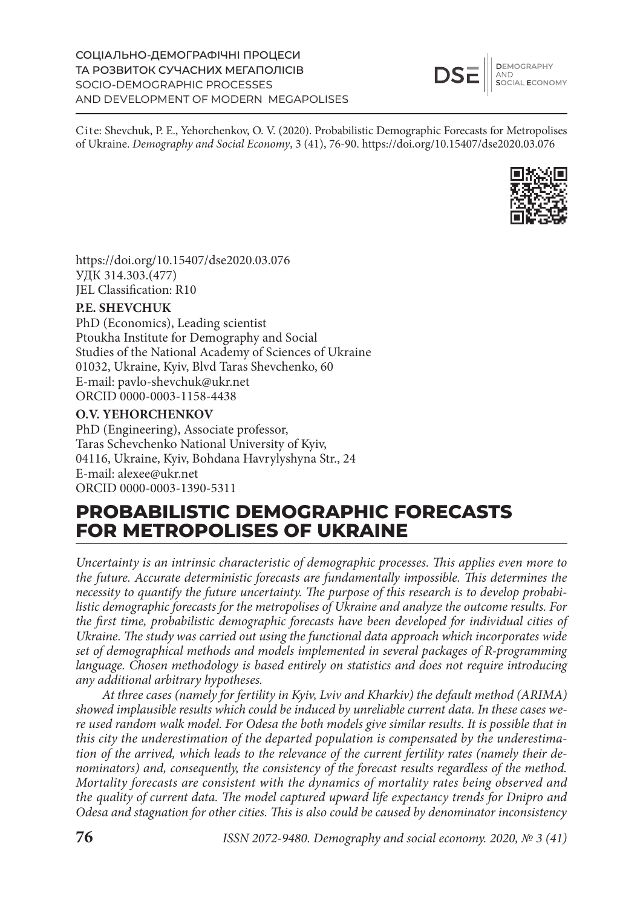#### СОЦІАЛЬНО-ДЕМОГРАФІЧНІ ПРОЦЕСИ ТА РОЗВИТОК СУЧАСНИХ МЕГАПОЛІСІВ SOCIO-DEMOGRAPHIC PROCESSES AND DEVELOPMENT OF MODERN MEGAPOLISES



**DEMOGRAPHY** AND<br>SOCIAL ECONOMY

Cite: Shevchuk, P. E., Yehorchenkov, O. V. (2020). Probabilistic Demographic Forecasts for Metropolises of Ukraine. Demography and Social Economy, 3 (41), 76-90. https://doi.org/10.15407/dse2020.03.076



https://doi.org/10.15407/dse2020.03.076 УДК 314.303.(477) IEL Classification: R10

## **P.E. SHEVCHUK**

PhD (Economics), Leading scientist Ptoukha Institute for Demography and Social Studies of the National Academy of Sciences of Ukraine 01032, Ukraine, Kyiv, Вlvd Taras Shevchenko, 60 E-mail: pavlo-shevchuk@ukr.net ORCID 0000-0003-1158-4438

## **O.V. YEHORCHENKOV**

PhD (Engineering), Associate professor, Taras Schevchenko National University of Kyiv, 04116, Ukraine, Kyiv, Bohdana Havrylyshyna Str., 24 E-mail: alexee@ukr.net ORCID 0000-0003-1390-5311

# **PROBABILISTIC DEMOGRAPHIC FORECASTS FOR METROPOLISES OF UKRAINE**

Uncertainty is an intrinsic characteristic of demographic processes. This applies even more to the future. Accurate deterministic forecasts are fundamentally impossible. This determines the necessity to quantify the future uncertainty. The purpose of this research is to develop probabilistic demographic forecasts for the metropolises of Ukraine and analyze the outcome results. For the first time, probabilistic demographic forecasts have been developed for individual cities of Ukraine. The study was carried out using the functional data approach which incorporates wide set of demographical methods and models implemented in several packages of R-programming language. Chosen methodology is based entirely on statistics and does not require introducing any additional arbitrary hypotheses.

At three cases (namely for fertility in Kyiv, Lviv and Kharkiv) the default method (ARIMA) showed implausible results which could be induced by unreliable current data. In these cases were used random walk model. For Odesa the both models give similar results. It is possible that in this city the underestimation of the departed population is compensated by the underestimation of the arrived, which leads to the relevance of the current fertility rates (namely their denominators) and, consequently, the consistency of the forecast results regardless of the method. Mortality forecasts are consistent with the dynamics of mortality rates being observed and the quality of current data. The model captured upward life expectancy trends for Dnipro and Odesa and stagnation for other cities. This is also could be caused by denominator inconsistency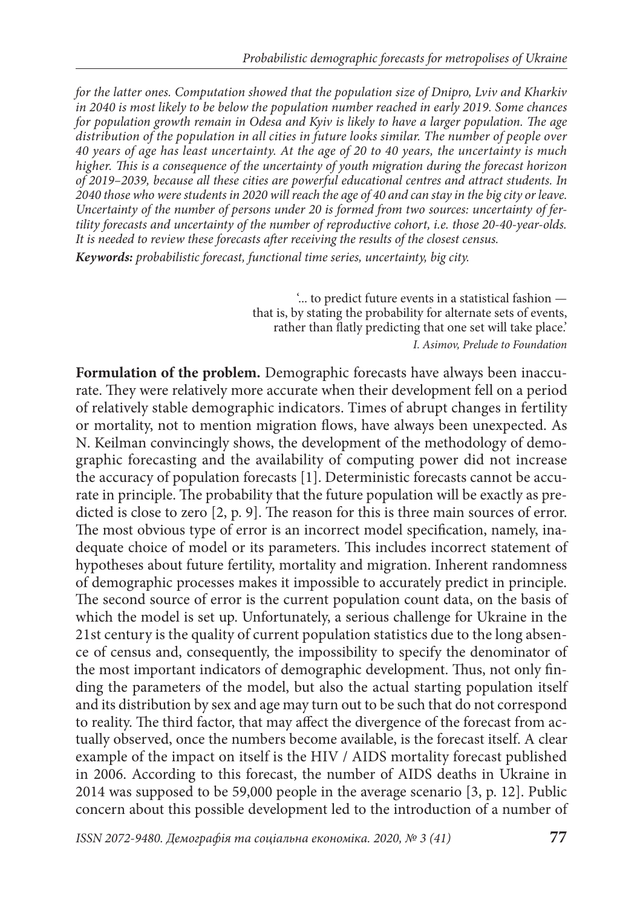for the latter ones. Computation showed that the population size of Dnipro, Lviv and Kharkiv in 2040 is most likely to be below the population number reached in early 2019. Some chances for population growth remain in Odesa and Kyiv is likely to have a larger population. The age distribution of the population in all cities in future looks similar. The number of people over 40 years of age has least uncertainty. At the age of 20 to 40 years, the uncertainty is much higher. This is a consequence of the uncertainty of youth migration during the forecast horizon of 2019–2039, because all these cities are powerful educational centres and attract students. In 2040 those who were students in 2020 will reach the age of 40 and can stay in the big city or leave. Uncertainty of the number of persons under 20 is formed from two sources: uncertainty of fertility forecasts and uncertainty of the number of reproductive cohort, i.e. those 20-40-year-olds. It is needed to review these forecasts after receiving the results of the closest census.

**Keywords:** probabilistic forecast, functional time series, uncertainty, big city.

'... to predict future events in a statistical fashion that is, by stating the probability for alternate sets of events, rather than flatly predicting that one set will take place.' I. Asimov, Prelude to Foundation

**Formulation of the problem.** Demographic forecasts have always been inaccurate. They were relatively more accurate when their development fell on a period of re latively stable demographic indicators. Times of abrupt changes in fertility or mortality, not to mention migration flows, have always been unexpected. As N. Keilman convincingly shows, the development of the methodology of demographic forecasting and the availability of computing power did not increase the accuracy of population forecasts [1]. Deterministic forecasts cannot be accurate in principle. The probability that the future population will be exactly as predicted is close to zero  $[2, p. 9]$ . The reason for this is three main sources of error. The most obvious type of error is an incorrect model specification, namely, inadequate choice of model or its parameters. This includes incorrect statement of hypotheses about future fertility, mortality and migration. Inherent randomness of demographic processes makes it impossible to accurately predict in principle. The second source of error is the current population count data, on the basis of which the model is set up. Unfortunately, a serious challenge for Ukraine in the 21st century is the quality of current population statistics due to the long absence of census and, consequently, the impossibility to specify the denominator of the most important indicators of demographic development. Thus, not only finding the parameters of the model, but also the actual starting population itself and its distribution by sex and age may turn out to be such that do not correspond to reality. The third factor, that may affect the divergence of the forecast from actually observed, once the numbers become available, is the forecast itself. A clear example of the impact on itself is the HIV / AIDS mortality forecast published in 2006. According to this forecast, the number of AIDS deaths in Ukraine in 2014 was supposed to be 59,000 people in the average scenario [3, p. 12]. Public concern about this possible development led to the introduction of a number of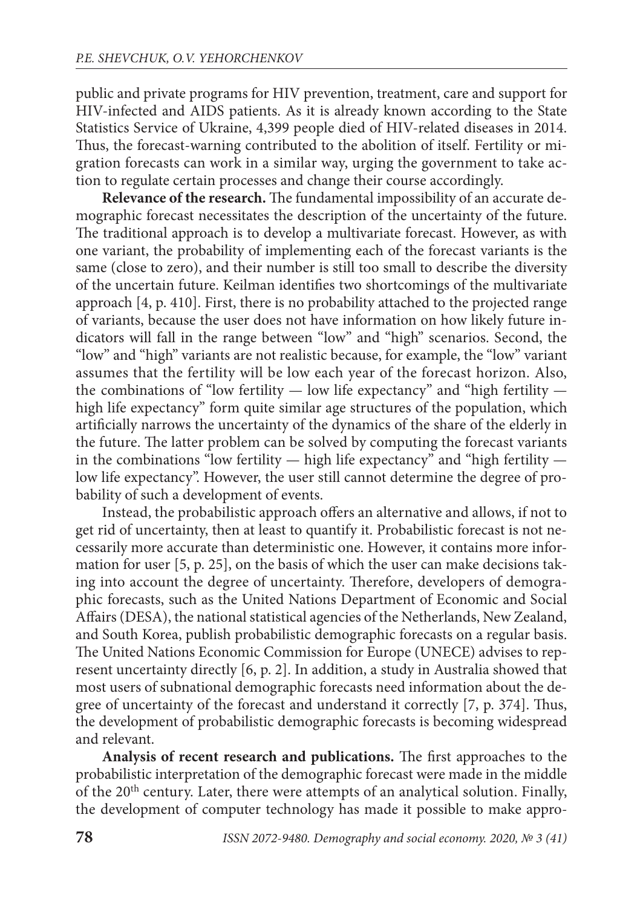public and private programs for HIV prevention, treatment, care and support for HIV-infected and AIDS patients. As it is already known according to the State Statistics Service of Ukraine, 4,399 people died of HIV-related diseases in 2014. Thus, the forecast-warning contributed to the abolition of itself. Fertility or migration forecasts can work in a similar way, urging the government to take action to regulate certain processes and change their course accordingly.

**Relevance of the research.** The fundamental impossibility of an accurate demographic forecast necessitates the description of the uncertainty of the future. The traditional approach is to develop a multivariate forecast. However, as with one va riant, the probability of implementing each of the forecast variants is the same (close to zero), and their number is still too small to describe the diversity of the uncertain future. Keilman identifies two shortcomings of the multivariate approach [4, p. 410]. First, there is no probability attached to the projected range of variants, because the user does not have information on how likely future indicators will fall in the range between "low" and "high" scenarios. Second, the "low" and "high" variants are not realistic because, for example, the "low" variant assumes that the fertility will be low each year of the forecast horizon. Also, the combinations of "low fertility — low life expectancy" and "high fertility high life expectancy" form quite similar age structures of the population, which artificially narrows the uncertainty of the dynamics of the share of the elderly in the future. The latter problem can be solved by computing the forecast variants in the combinations "low fertility — high life expectancy" and "high fertility low life expectancy". However, the user still cannot determine the degree of probability of such a development of events.

Instead, the probabilistic approach offers an alternative and allows, if not to get rid of uncertainty, then at least to quantify it. Probabilistic forecast is not necessarily more accurate than deterministic one. However, it contains more information for user [5, p. 25], on the basis of which the user can make decisions taking into account the degree of uncertainty. Therefore, developers of demographic fo recasts, such as the United Nations Department of Economic and Social Affairs (DESA), the national statistical agencies of the Netherlands, New Zealand, and South Korea, publish probabilistic demographic forecasts on a regular basis. The United Nations Economic Commission for Europe (UNECE) advises to represent uncertainty directly [6, p. 2]. In addition, a study in Australia showed that most users of subnational demographic forecasts need information about the degree of uncertainty of the forecast and understand it correctly [7, p. 374]. Thus, the development of probabilistic demographic forecasts is becoming widespread and relevant.

Analysis of recent research and publications. The first approaches to the probabilistic interpretation of the demographic forecast were made in the middle of the 20<sup>th</sup> century. Later, there were attempts of an analytical solution. Finally, the development of computer technology has made it possible to make appro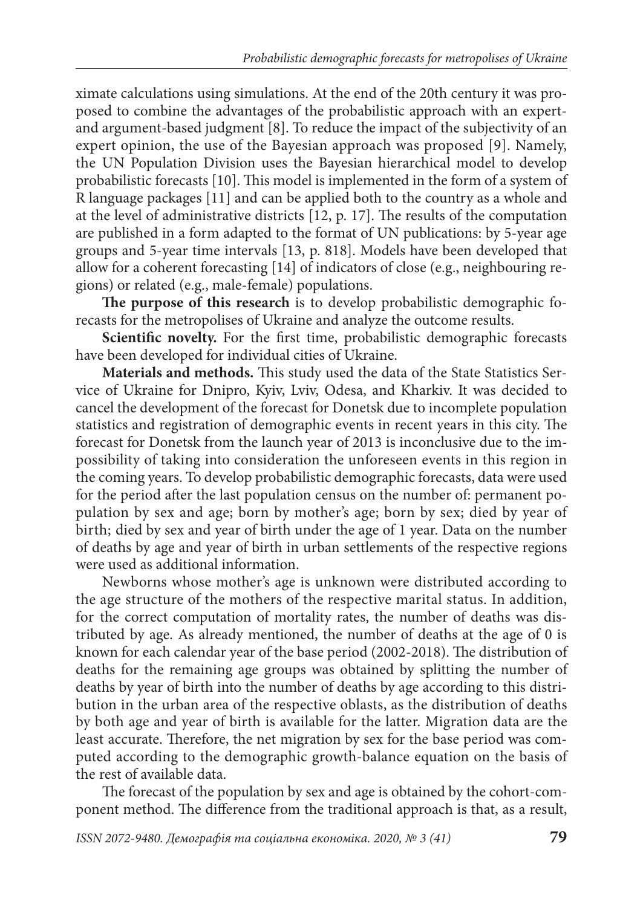ximate calculations using simulations. At the end of the 20th century it was proposed to combine the advantages of the probabilistic approach with an expertand argument-based judgment [8]. To reduce the impact of the subjectivity of an expert opinion, the use of the Bayesian approach was proposed [9]. Namely, the UN Population Division uses the Bayesian hierarchical model to develop probabilistic forecasts [10]. This model is implemented in the form of a system of R language packages [11] and can be applied both to the country as a whole and at the level of administrative districts  $[12, p. 17]$ . The results of the computation are published in a form adapted to the format of UN publications: by 5-year age groups and 5-year time intervals [13, p. 818]. Models have been developed that allow for a coherent forecasting [14] of indicators of close (e.g., neighbouring regions) or related (e.g., male-female) populations.

The purpose of this research is to develop probabilistic demographic forecasts for the metropolises of Ukraine and analyze the outcome results.

**Scientific novelty.** For the first time, probabilistic demographic forecasts have been developed for individual cities of Ukraine.

**Materials and methods.** This study used the data of the State Statistics Service of Ukraine for Dnipro, Kyiv, Lviv, Odesa, and Kharkiv. It was decided to cancel the development of the forecast for Donetsk due to incomplete population statistics and registration of demographic events in recent years in this city. The forecast for Donetsk from the launch year of 2013 is inconclusive due to the impossibility of taking into consideration the unforeseen events in this region in the coming years. To develop probabilistic demographic forecasts, data were used for the period after the last population census on the number of: permanent population by sex and age; born by mother's age; born by sex; died by year of birth; died by sex and year of birth under the age of 1 year. Data on the number of deaths by age and year of birth in urban settlements of the respective regions were used as additional information.

Newborns whose mother's age is unknown were distributed according to the age structure of the mothers of the respective marital status. In addition, for the correct computation of mortality rates, the number of deaths was distributed by age. As already mentioned, the number of deaths at the age of 0 is known for each calendar year of the base period (2002-2018). The distribution of deaths for the remaining age groups was obtained by splitting the number of deaths by year of birth into the number of deaths by age according to this distribution in the urban area of the respective oblasts, as the distribution of deaths by both age and year of birth is available for the latter. Migration data are the least accurate. Therefore, the net migration by sex for the base period was computed according to the demographic growth-balance equation on the basis of the rest of available data.

The forecast of the population by sex and age is obtained by the cohort-component method. The difference from the traditional approach is that, as a result,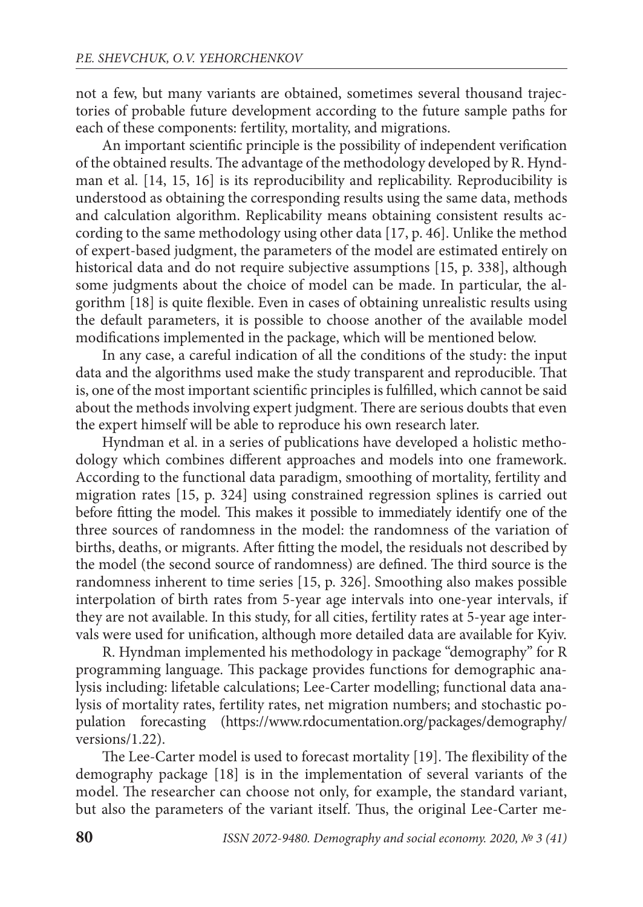not a few, but many variants are obtained, sometimes several thousand trajectories of probable future development according to the future sample paths for each of these components: fertility, mortality, and migrations.

An important scientific principle is the possibility of independent verification of the obtained results. The advantage of the methodology developed by R. Hyndman et al. [14, 15, 16] is its reproducibility and replicability. Reproducibility is un derstood as obtaining the corresponding results using the same data, methods and calculation algorithm. Replicability means obtaining consistent results according to the same methodology using other data [17, p. 46]. Unlike the method of expert-based judgment, the parameters of the model are estimated entirely on historical data and do not require subjective assumptions [15, p. 338], although some judgments about the choice of model can be made. In particular, the algorithm  $[18]$  is quite flexible. Even in cases of obtaining unrealistic results using the default parameters, it is possible to choose another of the available model modifications implemented in the package, which will be mentioned below.

In any case, a careful indication of all the conditions of the study: the input data and the algorithms used make the study transparent and reproducible. That is, one of the most important scientific principles is fulfilled, which cannot be said about the methods involving expert judgment. There are serious doubts that even the expert himself will be able to reproduce his own research later.

Hyndman et al. in a series of publications have developed a holistic methodology which combines different approaches and models into one framework. According to the functional data paradigm, smoothing of mortality, fertility and migration rates [15, p. 324] using constrained regression splines is carried out before fitting the model. This makes it possible to immediately identify one of the three sources of randomness in the model: the randomness of the variation of births, deaths, or migrants. After fitting the model, the residuals not described by the model (the second source of randomness) are defined. The third source is the randomness inherent to time series [15, p. 326]. Smoothing also makes possible interpolation of birth rates from 5-year age intervals into one-year intervals, if they are not available. In this study, for all cities, fertility rates at 5-year age intervals were used for unification, although more detailed data are available for Kyiv.

R. Hyndman implemented his methodology in package "demography" for R programming language. This package provides functions for demographic analysis including: lifetable calculations; Lee-Carter modelling; functional data analysis of mortality rates, fertility rates, net migration numbers; and stochastic population forecasting (https://www.rdocumentation.org/packages/demography/ versions/1.22).

The Lee-Carter model is used to forecast mortality [19]. The flexibility of the demography package [18] is in the implementation of several variants of the model. The researcher can choose not only, for example, the standard variant, but also the parameters of the variant itself. Thus, the original Lee-Carter me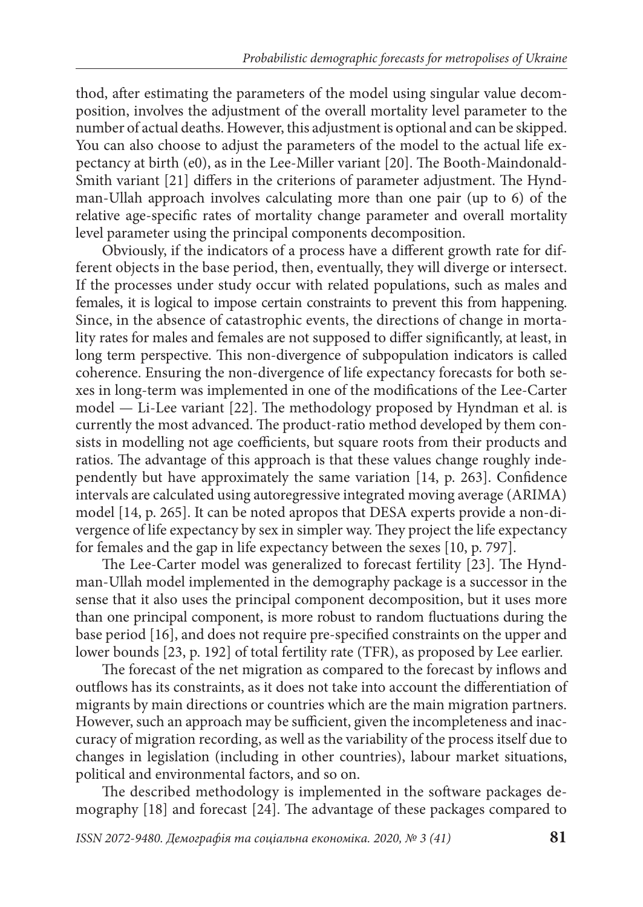thod, after estimating the parameters of the model using singular value decomposition, involves the adjustment of the overall mortality level parameter to the number of actual deaths. However, this adjustment is optional and can be skipped. You can also choose to adjust the parameters of the model to the actual life expectancy at birth (e0), as in the Lee-Miller variant [20]. The Booth-Maindonald-Smith variant [21] differs in the criterions of parameter adjustment. The Hyndman-Ullah approach involves calculating more than one pair (up to 6) of the relative age-specific rates of mortality change parameter and overall mortality level parameter using the principal components decomposition.

Obviously, if the indicators of a process have a different growth rate for different objects in the base period, then, eventually, they will diverge or intersect. If the processes under study occur with related populations, such as males and females, it is logical to impose certain constraints to prevent this from happening. Since, in the absence of catastrophic events, the directions of change in mortality rates for males and females are not supposed to differ significantly, at least, in long term perspective. This non-divergence of subpopulation indicators is called coherence. Ensuring the non-divergence of life expectancy forecasts for both sexes in long-term was implemented in one of the modifications of the Lee-Carter model — Li-Lee variant [22]. The methodology proposed by Hyndman et al. is currently the most advanced. The product-ratio method developed by them consists in modelling not age coefficients, but square roots from their products and ratios. The advantage of this approach is that these values change roughly independently but have approximately the same variation [14, p. 263]. Confidence intervals are calculated using autoregressive integrated moving average (ARIMA) model [14, p. 265]. It can be noted apropos that DESA experts provide a non-divergence of life expectancy by sex in simpler way. They project the life expectancy for females and the gap in life expectancy between the sexes [10, p. 797].

The Lee-Carter model was generalized to forecast fertility [23]. The Hyndman-Ullah model implemented in the demography package is a successor in the sense that it also uses the principal component decomposition, but it uses more than one principal component, is more robust to random fluctuations during the base period [16], and does not require pre-specified constraints on the upper and lower bounds [23, p. 192] of total fertility rate (TFR), as proposed by Lee earlier.

The forecast of the net migration as compared to the forecast by inflows and outflows has its constraints, as it does not take into account the differentiation of migrants by main directions or countries which are the main migration partners. However, such an approach may be sufficient, given the incompleteness and inaccuracy of migration recording, as well as the variability of the process itself due to changes in legislation (including in other countries), labour market situations, political and environmental factors, and so on.

The described methodology is implemented in the software packages demography [18] and forecast [24]. The advantage of these packages compared to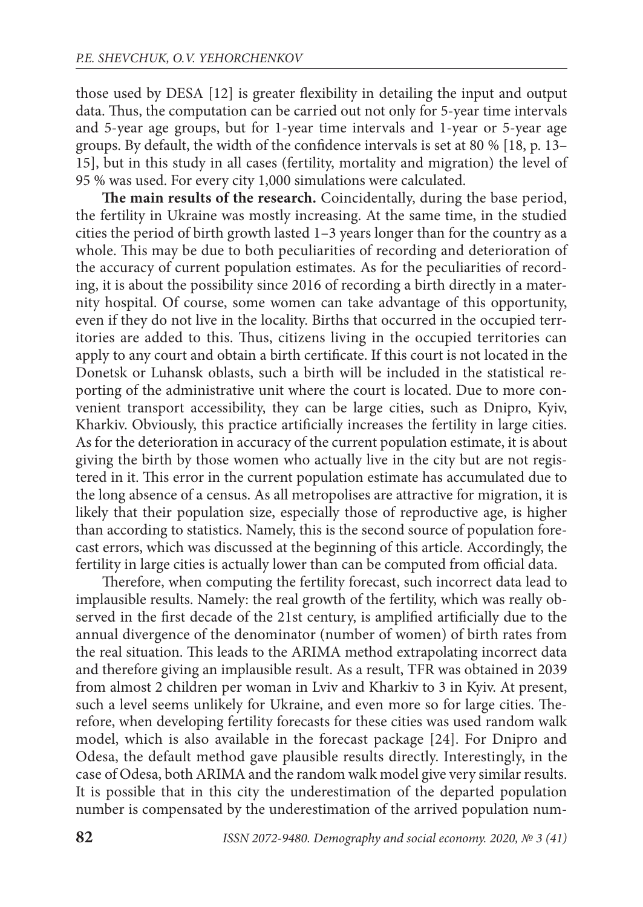those used by DESA [12] is greater flexibility in detailing the input and output data. Thus, the computation can be carried out not only for 5-year time intervals and 5-year age groups, but for 1-year time intervals and 1-year or 5-year age groups. By default, the width of the confidence intervals is set at 80 %  $[18, p. 13-$ 15], but in this study in all cases (fertility, mortality and migration) the level of 95 % was used. For every city 1,000 simulations were calculated.

The main results of the research. Coincidentally, during the base period, the fertility in Ukraine was mostly increasing. At the same time, in the studied cities the period of birth growth lasted 1–3 years longer than for the country as a whole. This may be due to both peculiarities of recording and deterioration of the accuracy of current population estimates. As for the peculiarities of recording, it is about the possibility since 2016 of recording a birth directly in a maternity hospital. Of course, some women can take advantage of this opportunity, even if they do not live in the locality. Births that occurred in the occupied territories are added to this. Thus, citizens living in the occupied territories can apply to any court and obtain a birth certificate. If this court is not located in the Donetsk or Luhansk oblasts, such a birth will be included in the statistical reporting of the administrative unit where the court is located. Due to more convenient transport accessibility, they can be large cities, such as Dnipro, Kyiv, Kharkiv. Obviously, this practice artificially increases the fertility in large cities. As for the deterioration in accuracy of the current population estimate, it is about giving the birth by those women who actually live in the city but are not registered in it. This error in the current population estimate has accumulated due to the long absence of a census. As all metropolises are attractive for migration, it is likely that their population size, especially those of reproductive age, is higher than according to statistics. Namely, this is the second source of population forecast errors, which was discussed at the beginning of this article. Accordingly, the fertility in large cities is actually lower than can be computed from official data.

Therefore, when computing the fertility forecast, such incorrect data lead to implausible results. Namely: the real growth of the fertility, which was really observed in the first decade of the 21st century, is amplified artificially due to the annual divergence of the denominator (number of women) of birth rates from the real situation. This leads to the ARIMA method extrapolating incorrect data and therefore giving an implausible result. As a result, TFR was obtained in 2039 from almost 2 children per woman in Lviv and Kharkiv to 3 in Kyiv. At present, such a level seems unlikely for Ukraine, and even more so for large cities. Therefore, when developing fertility forecasts for these cities was used random walk model, which is also available in the forecast package [24]. For Dnipro and Odesa, the default method gave plausible results directly. Interestingly, in the case of Odesa, both ARIMA and the random walk model give very similar results. It is possible that in this city the underestimation of the departed population number is compensated by the underestimation of the arrived population num-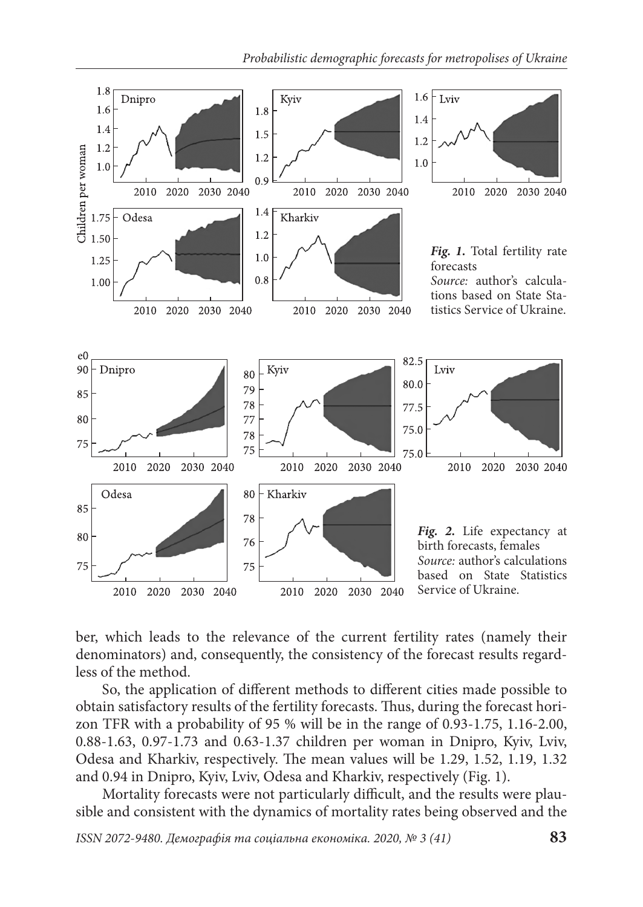

ber, which leads to the relevance of the current fertility rates (namely their denominators) and, consequently, the consistency of the forecast results regardless of the method.

So, the application of different methods to different cities made possible to obtain satisfactory results of the fertility forecasts. Thus, during the forecast horizon TFR with a probability of 95 % will be in the range of 0.93-1.75, 1.16-2.00, 0.88-1.63, 0.97-1.73 and 0.63-1.37 children per woman in Dnipro, Kyiv, Lviv, Odesa and Kharkiv, respectively. The mean values will be 1.29, 1.52, 1.19, 1.32 and 0.94 in Dnipro, Kyiv, Lviv, Odesa and Kharkiv, respectively (Fig. 1).

Mortality forecasts were not particularly difficult, and the results were plausible and consistent with the dynamics of mortality rates being observed and the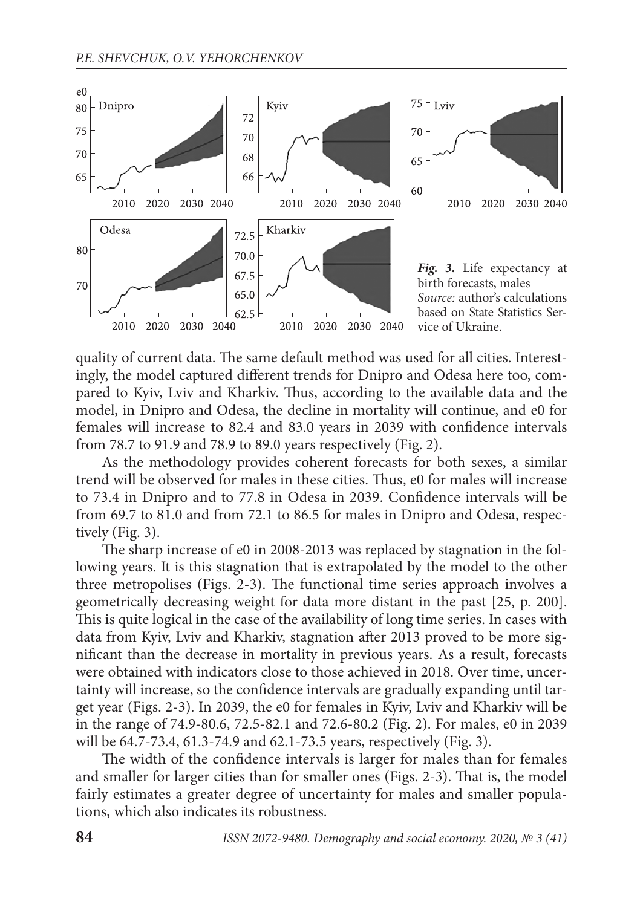

quality of current data. The same default method was used for all cities. Interestingly, the model captured different trends for Dnipro and Odesa here too, compared to Kyiv, Lviv and Kharkiv. Thus, according to the available data and the model, in Dnipro and Odesa, the decline in mortality will continue, and e0 for females will increase to 82.4 and 83.0 years in 2039 with confidence intervals from 78.7 to 91.9 and 78.9 to 89.0 years respectively (Fig. 2).

As the methodology provides coherent forecasts for both sexes, a similar trend will be observed for males in these cities. Thus, e0 for males will increase to 73.4 in Dnipro and to 77.8 in Odesa in 2039. Confidence intervals will be from 69.7 to 81.0 and from 72.1 to 86.5 for males in Dnipro and Odesa, respectively (Fig. 3).

The sharp increase of e0 in 2008-2013 was replaced by stagnation in the following years. It is this stagnation that is extrapolated by the model to the other three metropolises (Figs.  $2-3$ ). The functional time series approach involves a geometrically decreasing weight for data more distant in the past [25, p. 200]. This is quite logical in the case of the availability of long time series. In cases with data from Kyiv, Lviv and Kharkiv, stagnation after 2013 proved to be more significant than the decrease in mortality in previous years. As a result, forecasts were obtained with indicators close to those achieved in 2018. Over time, uncertainty will increase, so the confidence intervals are gradually expanding until target year (Figs. 2-3). In 2039, the e0 for females in Kyiv, Lviv and Kharkiv will be in the range of 74.9-80.6, 72.5-82.1 and 72.6-80.2 (Fig. 2). For males, e0 in 2039 will be 64.7-73.4, 61.3-74.9 and 62.1-73.5 years, respectively (Fig. 3).

The width of the confidence intervals is larger for males than for females and smaller for larger cities than for smaller ones (Figs. 2-3). That is, the model fairly estimates a greater degree of uncertainty for males and smaller populations, which also indicates its robustness.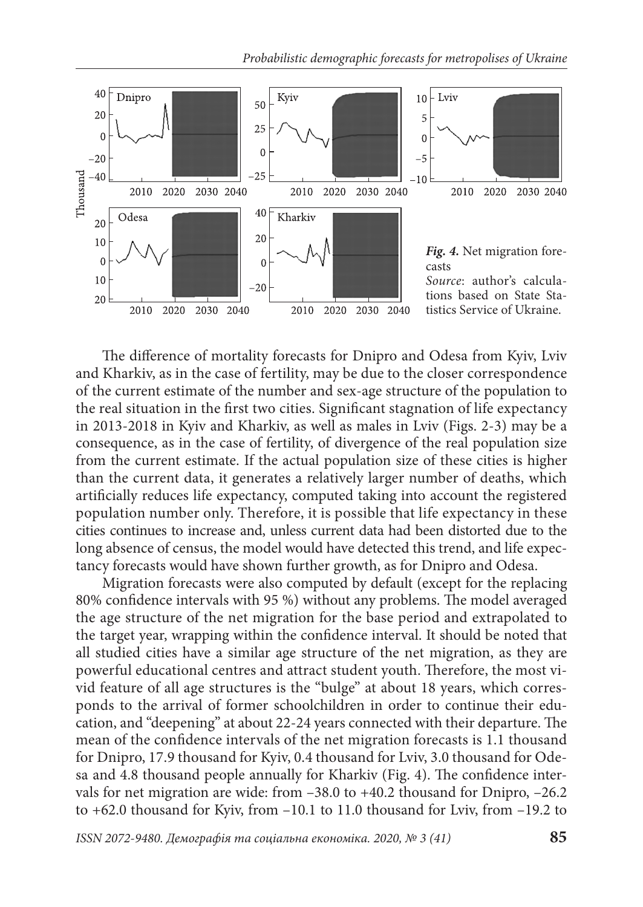

The difference of mortality forecasts for Dnipro and Odesa from Kyiv, Lviv and Kharkiv, as in the case of fertility, may be due to the closer correspondence of the current estimate of the number and sex-age structure of the population to the real situation in the first two cities. Significant stagnation of life expectancy in 2013-2018 in Kyiv and Kharkiv, as well as males in Lviv (Figs. 2-3) may be a consequence, as in the case of fertility, of divergence of the real population size from the current estimate. If the actual population size of these cities is higher than the current data, it generates a relatively larger number of deaths, which artificially reduces life expectancy, computed taking into account the registered population number only. Therefore, it is possible that life expectancy in these cities continues to increase and, unless current data had been distorted due to the long absence of census, the model would have detected this trend, and life expectancy forecasts would have shown further growth, as for Dnipro and Odesa.

Migration forecasts were also computed by default (except for the replacing 80% confidence intervals with 95 %) without any problems. The model averaged the age structure of the net migration for the base period and extrapolated to the target year, wrapping within the confidence interval. It should be noted that all studied cities have a similar age structure of the net migration, as they are powerful educational centres and attract student youth. Therefore, the most vivid feature of all age structures is the "bulge" at about 18 years, which corresponds to the arrival of former schoolchildren in order to continue their education, and "deepening" at about 22-24 years connected with their departure. The mean of the confidence intervals of the net migration forecasts is 1.1 thousand for Dnipro, 17.9 thousand for Kyiv, 0.4 thousand for Lviv, 3.0 thousand for Odesa and 4.8 thousand people annually for Kharkiv (Fig. 4). The confidence intervals for net migration are wide: from –38.0 to +40.2 thousand for Dnipro, –26.2 to +62.0 thousand for Kyiv, from –10.1 to 11.0 thousand for Lviv, from –19.2 to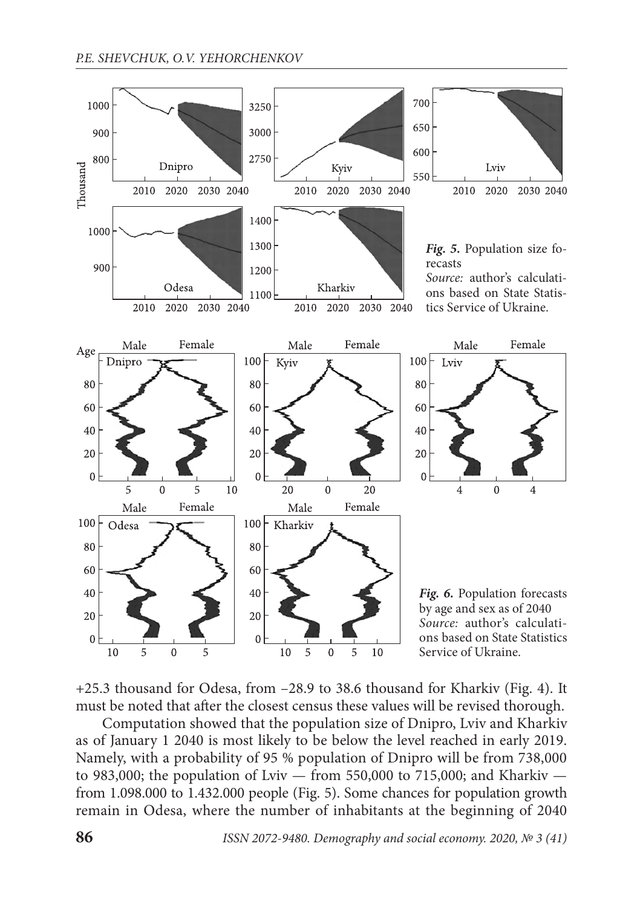

+25.3 thousand for Odesa, from –28.9 to 38.6 thousand for Kharkiv (Fig. 4). It must be noted that after the closest census these values will be revised thorough.

Computation showed that the population size of Dnipro, Lviv and Kharkiv as of January 1 2040 is most likely to be below the level reached in early 2019. Namely, with a probability of 95 % population of Dnipro will be from 738,000 to 983,000; the population of Lviv — from 550,000 to 715,000; and Kharkiv from 1.098.000 to 1.432.000 people (Fig. 5). Some chances for population growth remain in Odesa, where the number of inhabitants at the beginning of 2040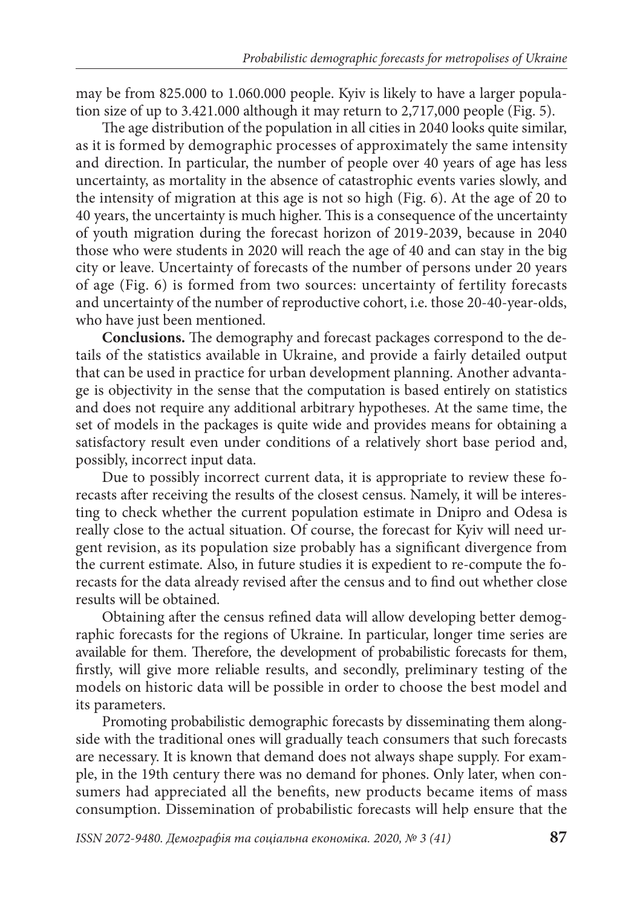may be from 825.000 to 1.060.000 people. Kyiv is likely to have a larger population size of up to 3.421.000 although it may return to 2,717,000 people (Fig. 5).

The age distribution of the population in all cities in 2040 looks quite similar, as it is formed by demographic processes of approximately the same intensity and direction. In particular, the number of people over 40 years of age has less uncertainty, as mortality in the absence of catastrophic events varies slowly, and the intensity of migration at this age is not so high (Fig. 6). At the age of 20 to 40 years, the uncertainty is much higher. This is a consequence of the uncertainty of youth migration during the forecast horizon of 2019-2039, because in 2040 those who were students in 2020 will reach the age of 40 and can stay in the big city or leave. Uncertainty of forecasts of the number of persons under 20 years of age (Fig. 6) is formed from two sources: uncertainty of fertility forecasts and uncertainty of the number of reproductive cohort, i.e. those 20-40-year-olds, who have just been mentioned.

**Conclusions.** The demography and forecast packages correspond to the details of the statistics available in Ukraine, and provide a fairly detailed output that can be used in practice for urban development planning. Another advantage is objectivity in the sense that the computation is based entirely on statistics and does not require any additional arbitrary hypotheses. At the same time, the set of models in the packages is quite wide and provides means for obtaining a satisfactory result even under conditions of a relatively short base period and, possibly, incorrect input data.

Due to possibly incorrect current data, it is appropriate to review these forecasts after receiving the results of the closest census. Namely, it will be interesting to check whether the current population estimate in Dnipro and Odesa is really close to the actual situation. Of course, the forecast for Kyiv will need urgent revision, as its population size probably has a significant divergence from the current estimate. Also, in future studies it is expedient to re-compute the forecasts for the data already revised after the census and to find out whether close results will be obtained.

Obtaining after the census refined data will allow developing better demographic forecasts for the regions of Ukraine. In particular, longer time series are available for them. Therefore, the development of probabilistic forecasts for them, firstly, will give more reliable results, and secondly, preliminary testing of the models on historic data will be possible in order to choose the best model and its parameters.

Promoting probabilistic demographic forecasts by disseminating them alongside with the traditional ones will gradually teach consumers that such forecasts are necessary. It is known that demand does not always shape supply. For example, in the 19th century there was no demand for phones. Only later, when consumers had appreciated all the benefits, new products became items of mass consumption. Dissemination of probabilistic forecasts will help ensure that the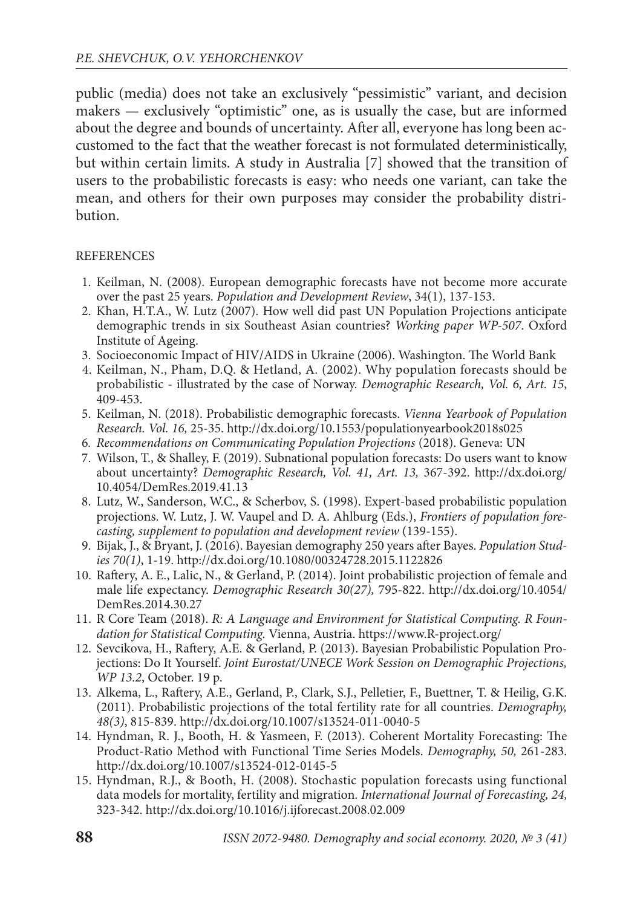public (media) does not take an exclusively "pessimistic" variant, and decision ma kers — exclusively "optimistic" one, as is usually the case, but are informed about the degree and bounds of uncertainty. After all, everyone has long been accustomed to the fact that the weather forecast is not formulated deterministically, but within certain limits. A study in Australia [7] showed that the transition of users to the probabilistic forecasts is easy: who needs one variant, can take the mean, and others for their own purposes may consider the probability distribution.

#### **REFERENCES**

- 1. Keilman, N. (2008). European demographic forecasts have not become more accurate over the past 25 years. Population and Development Review, 34(1), 137-153.
- 2. Khan, H.T.A., W. Lutz (2007). How well did past UN Population Projections anticipate demographic trends in six Southeast Asian countries? Working paper WP-507. Oxford Institute of Ageing.
- 3. Socioeconomic Impact of HIV/AIDS in Ukraine (2006). Washington. The World Bank
- 4. Keilman, N., Pham, D.Q. & Hetland, A. (2002). Why population forecasts should be probabilistic - illustrated by the case of Norway. Demographic Research, Vol. 6, Art. 15, 409-453.
- 5. Keilman, N. (2018). Probabilistic demographic forecasts. Vienna Yearbook of Population Research. Vol. 16, 25-35. http://dx.doi.org/10.1553/populationyearbook2018s025
- 6. Recommendations on Communicating Population Projections (2018). Geneva: UN
- 7. Wilson, T., & Shalley, F. (2019). Subnational population forecasts: Do users want to know about uncertainty? Demographic Research, Vol. 41, Art. 13, 367-392. http://dx.doi.org/ 10.4054/DemRes.2019.41.13
- 8. Lutz, W., Sanderson, W.C., & Scherbov, S. (1998). Expert-based probabilistic population projections. W. Lutz, J. W. Vaupel and D. A. Ahlburg (Eds.), Frontiers of population forecasting, supplement to population and development review (139-155).
- 9. Bijak, J., & Bryant, J. (2016). Bayesian demography 250 years after Bayes. Population Studies 70(1), 1-19. http://dx.doi.org/10.1080/00324728.2015.1122826
- 10. Raftery, A. E., Lalic, N., & Gerland, P. (2014). Joint probabilistic projection of female and male life expectancy. Demographic Research 30(27), 795-822. http://dx.doi.org/10.4054/ DemRes.2014.30.27
- 11. R Core Team (2018). R: A Language and Environment for Statistical Computing. R Foundation for Statistical Computing. Vienna, Austria. https://www.R-project.org/
- 12. Sevcikova, H., Raftery, A.E. & Gerland, P. (2013). Bayesian Probabilistic Population Projections: Do It Yourself. Joint Eurostat/UNECE Work Session on Demographic Projections, WP 13.2, October. 19 p.
- 13. Alkema, L., Raftery, A.E., Gerland, P., Clark, S.J., Pelletier, F., Buettner, T. & Heilig, G.K. (2011). Probabilistic projections of the total fertility rate for all countries. Demography, 48(3), 815-839. http://dx.doi.org/10.1007/s13524-011-0040-5
- 14. Hyndman, R. J., Booth, H. & Yasmeen, F. (2013). Coherent Mortality Forecasting: The Product-Ratio Method with Functional Time Series Models. Demography, 50, 261-283. http://dx.doi.org/10.1007/s13524-012-0145-5
- 15. Hyndman, R.J., & Booth, H. (2008). Stochastic population forecasts using functional data models for mortality, fertility and migration. International Journal of Forecasting, 24, 323-342. http://dx.doi.org/10.1016/j.ijforecast.2008.02.009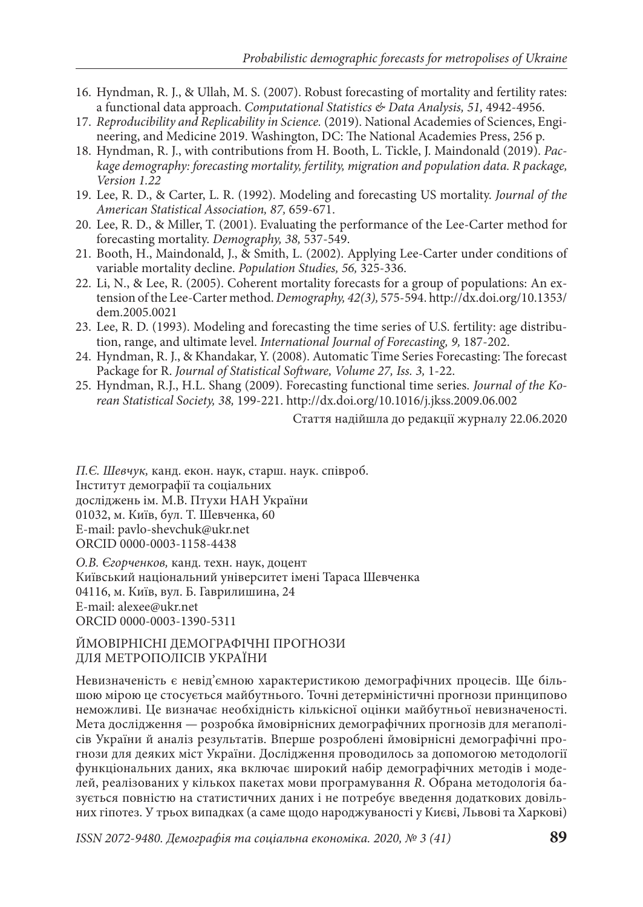- 16. Hyndman, R. J., & Ullah, M. S. (2007). Robust forecasting of mortality and fertility rates: a functional data approach. Computational Statistics & Data Analysis, 51, 4942-4956.
- 17. Reproducibility and Replicability in Science. (2019). National Academies of Sciences, Engineering, and Medicine 2019. Washington, DC: The National Academies Press, 256 p.
- 18. Hyndman, R. J., with contributions from H. Booth, L. Tickle, J. Maindonald (2019). Package demography: forecasting mortality, fertility, migration and population data. R package, Version 1.22
- 19. Lee, R. D., & Carter, L. R. (1992). Modeling and forecasting US mortality. Journal of the American Statistical Association, 87, 659-671.
- 20. Lee, R. D., & Miller, T. (2001). Evaluating the performance of the Lee-Carter method for forecasting mortality. Demography, 38, 537-549.
- 21. Booth, H., Maindonald, J., & Smith, L. (2002). Applying Lee-Carter under conditions of variable mortality decline. Population Studies, 56, 325-336.
- 22. Li, N., & Lee, R. (2005). Coherent mortality forecasts for a group of populations: An extension of the Lee-Carter method. Demography, 42(3), 575-594. http://dx.doi.org/10.1353/ dem.2005.0021
- 23. Lee, R. D. (1993). Modeling and forecasting the time series of U.S. fertility: age distribution, range, and ultimate level. International Journal of Forecasting, 9, 187-202.
- 24. Hyndman, R. J., & Khandakar, Y. (2008). Automatic Time Series Forecasting: The forecast Package for R. Journal of Statistical Software, Volume 27, Iss. 3, 1-22.
- 25. Hyndman, R.J., H.L. Shang (2009). Forecasting functional time series. Journal of the Korean Statistical Society, 38, 199-221. http://dx.doi.org/10.1016/j.jkss.2009.06.002

Стаття надійшла до редакції журналу 22.06.2020

П.Є. Шевчук, канд. екон. наук, старш. наук. співроб. Інститут демографії та соціальних досліджень ім. М.В. Птухи НАН України 01032, м. Київ, бул. Т. Шевченка, 60 E-mail: pavlo-shevchuk@ukr.net ORCID 0000-0003-1158-4438

О.В. Єгорченков, канд. техн. наук, доцент Київський національний університет імені Тараса Шевченка 04116, м. Київ, вул. Б. Гаврилишина, 24 E-mail: alexee@ukr.net ORCID 0000-0003-1390-5311

ЙМОВІРНІСНІ ДЕМОГРАФІЧНІ ПРОГНОЗИ ДЛЯ МЕТРОПОЛІСІВ УКРАЇНИ

Невизначеність є невід'ємною характеристикою демографічних процесів. Ще більшою мірою це стосується майбутнього. Точні детерміністичні прогнози принципово неможливі. Це визначає необхідність кількісної оцінки майбутньої невизначеності. Мета дослідження — розробка ймовірнісних демографічних прогнозів для мегаполісів України й аналіз результатів. Вперше розроблені ймовірнісні демографічні прогнози для деяких міст України. Дослідження проводилось за допомогою методології функціональних даних, яка включає широкий набір демографічних методів і моделей, реалізованих у кількох пакетах мови програмування R. Обрана методологія базується повністю на статистичних даних і не потребує введення додаткових довільних гіпотез. У трьох випадках (а саме щодо народжуваності у Києві, Львові та Харкові)